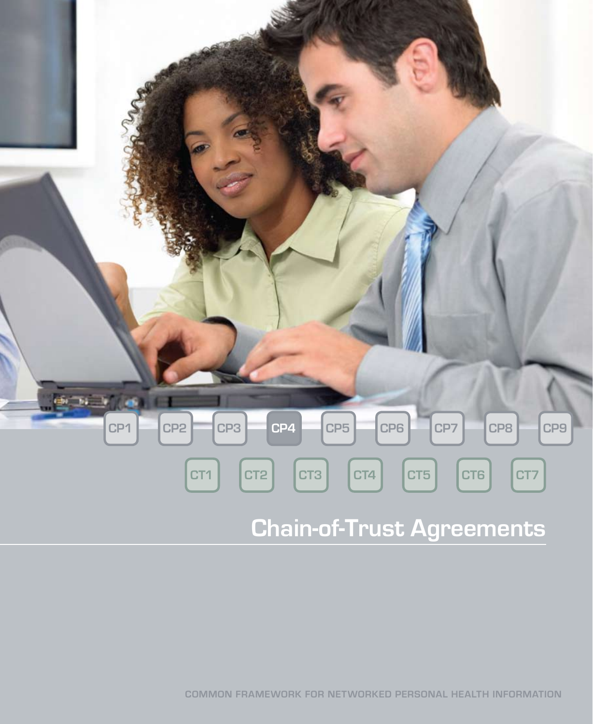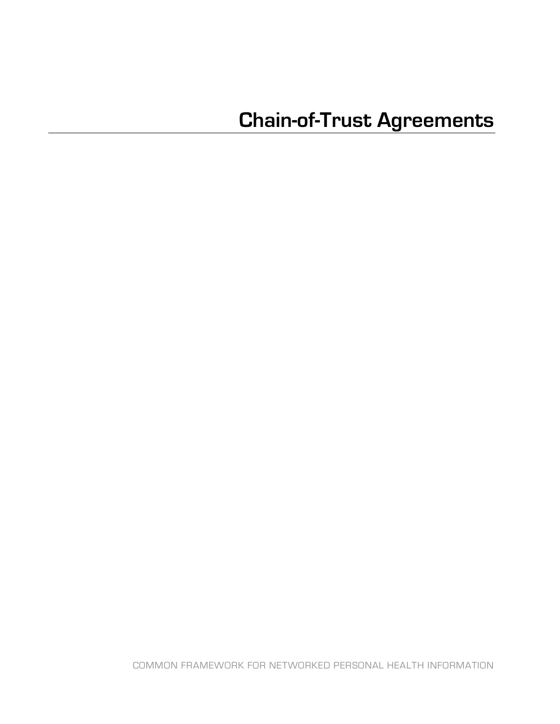COMMON FRAMEWORK FOR NETWORKED PERSONAL HEALTH INFORMATION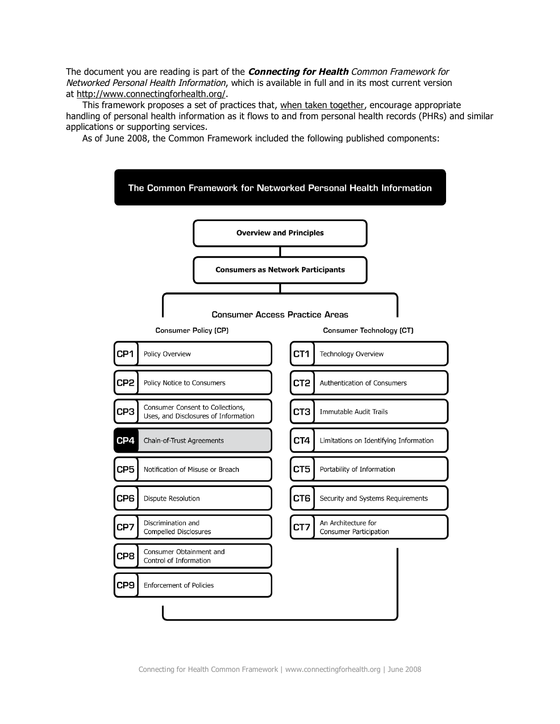The document you are reading is part of the **Connecting for Health** Common Framework for Networked Personal Health Information, which is available in full and in its most current version at http://www.connectingforhealth.org/.

This framework proposes a set of practices that, when taken together, encourage appropriate handling of personal health information as it flows to and from personal health records (PHRs) and similar applications or supporting services.

As of June 2008, the Common Framework included the following published components:



Connecting for Health Common Framework | www.connectingforhealth.org | June 2008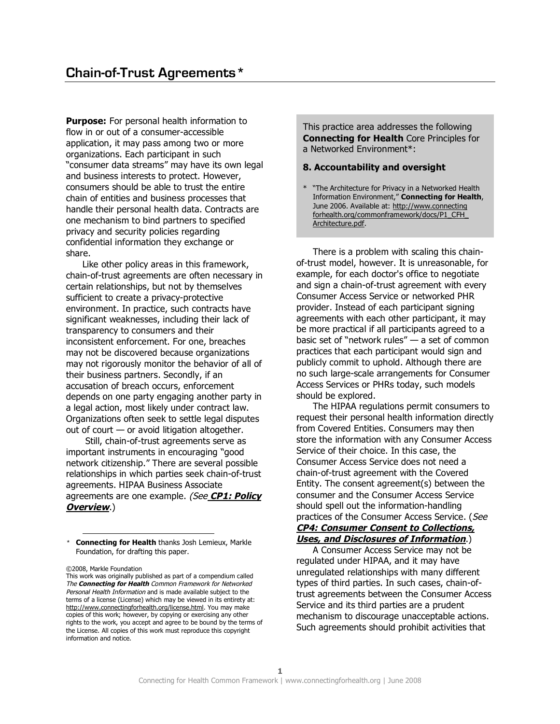**Purpose:** For personal health information to flow in or out of a consumer-accessible application, it may pass among two or more organizations. Each participant in such "consumer data streams" may have its own legal and business interests to protect. However, consumers should be able to trust the entire chain of entities and business processes that handle their personal health data. Contracts are one mechanism to bind partners to specified privacy and security policies regarding confidential information they exchange or share.

Like other policy areas in this framework, chain-of-trust agreements are often necessary in certain relationships, but not by themselves sufficient to create a privacy-protective environment. In practice, such contracts have significant weaknesses, including their lack of transparency to consumers and their inconsistent enforcement. For one, breaches may not be discovered because organizations may not rigorously monitor the behavior of all of their business partners. Secondly, if an accusation of breach occurs, enforcement depends on one party engaging another party in a legal action, most likely under contract law. Organizations often seek to settle legal disputes out of court — or avoid litigation altogether.

Still, chain-of-trust agreements serve as important instruments in encouraging "good network citizenship." There are several possible relationships in which parties seek chain-of-trust agreements. HIPAA Business Associate agreements are one example. (See **CP1: Policy Overview**.)

\* **Connecting for Health** thanks Josh Lemieux, Markle Foundation, for drafting this paper.

©2008, Markle Foundation

This work was originally published as part of a compendium called The **Connecting for Health** Common Framework for Networked Personal Health Information and is made available subject to the terms of a license (License) which may be viewed in its entirety at: http://www.connectingforhealth.org/license.html. You may make copies of this work; however, by copying or exercising any other rights to the work, you accept and agree to be bound by the terms of the License. All copies of this work must reproduce this copyright information and notice.

This practice area addresses the following **Connecting for Health** Core Principles for a Networked Environment\*:

## **8. Accountability and oversight**

\* "The Architecture for Privacy in a Networked Health Information Environment," **Connecting for Health**, June 2006. Available at: http://www.connecting forhealth.org/commonframework/docs/P1\_CFH\_ Architecture.pdf.

There is a problem with scaling this chainof-trust model, however. It is unreasonable, for example, for each doctor's office to negotiate and sign a chain-of-trust agreement with every Consumer Access Service or networked PHR provider. Instead of each participant signing agreements with each other participant, it may be more practical if all participants agreed to a basic set of "network rules" — a set of common practices that each participant would sign and publicly commit to uphold. Although there are no such large-scale arrangements for Consumer Access Services or PHRs today, such models should be explored.

The HIPAA regulations permit consumers to request their personal health information directly from Covered Entities. Consumers may then store the information with any Consumer Access Service of their choice. In this case, the Consumer Access Service does not need a chain-of-trust agreement with the Covered Entity. The consent agreement(s) between the consumer and the Consumer Access Service should spell out the information-handling practices of the Consumer Access Service. (See **CP4: Consumer Consent to Collections, Uses, and Disclosures of Information**.)

A Consumer Access Service may not be regulated under HIPAA, and it may have unregulated relationships with many different types of third parties. In such cases, chain-oftrust agreements between the Consumer Access Service and its third parties are a prudent mechanism to discourage unacceptable actions. Such agreements should prohibit activities that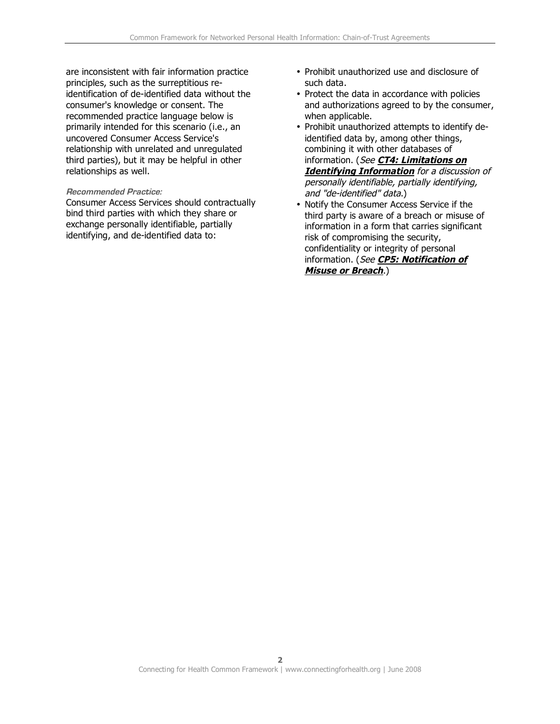are inconsistent with fair information practice principles, such as the surreptitious reidentification of de-identified data without the consumer's knowledge or consent. The recommended practice language below is primarily intended for this scenario (i.e., an uncovered Consumer Access Service's relationship with unrelated and unregulated third parties), but it may be helpful in other relationships as well.

## **Recommended Practice:**

Consumer Access Services should contractually bind third parties with which they share or exchange personally identifiable, partially identifying, and de-identified data to:

- Prohibit unauthorized use and disclosure of such data.
- Protect the data in accordance with policies and authorizations agreed to by the consumer, when applicable.
- Prohibit unauthorized attempts to identify deidentified data by, among other things, combining it with other databases of information. (See **CT4: Limitations on Identifying Information** for <sup>a</sup> discussion of personally identifiable, partially identifying, and "de-identified" data.)
- Notify the Consumer Access Service if the third party is aware of a breach or misuse of information in a form that carries significant risk of compromising the security, confidentiality or integrity of personal information. (See **CP5: Notification of Misuse or Breach**.)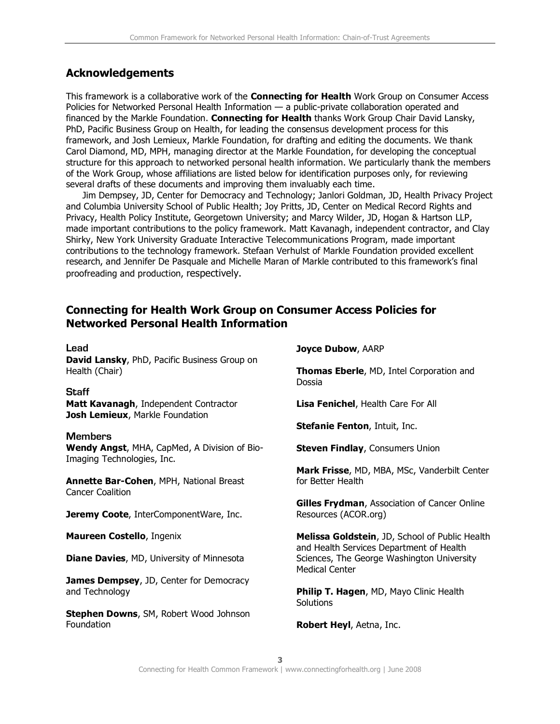## **Acknowledgements**

This framework is a collaborative work of the **Connecting for Health** Work Group on Consumer Access Policies for Networked Personal Health Information — a public-private collaboration operated and financed by the Markle Foundation. **Connecting for Health** thanks Work Group Chair David Lansky, PhD, Pacific Business Group on Health, for leading the consensus development process for this framework, and Josh Lemieux, Markle Foundation, for drafting and editing the documents. We thank Carol Diamond, MD, MPH, managing director at the Markle Foundation, for developing the conceptual structure for this approach to networked personal health information. We particularly thank the members of the Work Group, whose affiliations are listed below for identification purposes only, for reviewing several drafts of these documents and improving them invaluably each time.

Jim Dempsey, JD, Center for Democracy and Technology; Janlori Goldman, JD, Health Privacy Project and Columbia University School of Public Health; Joy Pritts, JD, Center on Medical Record Rights and Privacy, Health Policy Institute, Georgetown University; and Marcy Wilder, JD, Hogan & Hartson LLP, made important contributions to the policy framework. Matt Kavanagh, independent contractor, and Clay Shirky, New York University Graduate Interactive Telecommunications Program, made important contributions to the technology framework. Stefaan Verhulst of Markle Foundation provided excellent research, and Jennifer De Pasquale and Michelle Maran of Markle contributed to this framework's final proofreading and production, respectively.

## **Connecting for Health Work Group on Consumer Access Policies for Networked Personal Health Information**

| Lead                                                                                         | <b>Joyce Dubow, AARP</b>                                                                   |
|----------------------------------------------------------------------------------------------|--------------------------------------------------------------------------------------------|
| David Lansky, PhD, Pacific Business Group on<br>Health (Chair)                               | Thomas Eberle, MD, Intel Corporation and<br>Dossia                                         |
| <b>Staff</b>                                                                                 |                                                                                            |
| Matt Kavanagh, Independent Contractor<br>Josh Lemieux, Markle Foundation                     | Lisa Fenichel, Health Care For All                                                         |
|                                                                                              | <b>Stefanie Fenton, Intuit, Inc.</b>                                                       |
| <b>Members</b><br>Wendy Angst, MHA, CapMed, A Division of Bio-<br>Imaging Technologies, Inc. | <b>Steven Findlay, Consumers Union</b>                                                     |
| Annette Bar-Cohen, MPH, National Breast                                                      | Mark Frisse, MD, MBA, MSc, Vanderbilt Center<br>for Better Health                          |
| <b>Cancer Coalition</b>                                                                      |                                                                                            |
| Jeremy Coote, InterComponentWare, Inc.                                                       | <b>Gilles Frydman, Association of Cancer Online</b><br>Resources (ACOR.org)                |
| Maureen Costello, Ingenix                                                                    | Melissa Goldstein, JD, School of Public Health<br>and Health Services Department of Health |
| <b>Diane Davies, MD, University of Minnesota</b>                                             | Sciences, The George Washington University<br><b>Medical Center</b>                        |
| James Dempsey, JD, Center for Democracy                                                      |                                                                                            |
| and Technology                                                                               | Philip T. Hagen, MD, Mayo Clinic Health<br>Solutions                                       |
| <b>Stephen Downs, SM, Robert Wood Johnson</b>                                                |                                                                                            |
| Foundation                                                                                   | Robert Heyl, Aetna, Inc.                                                                   |